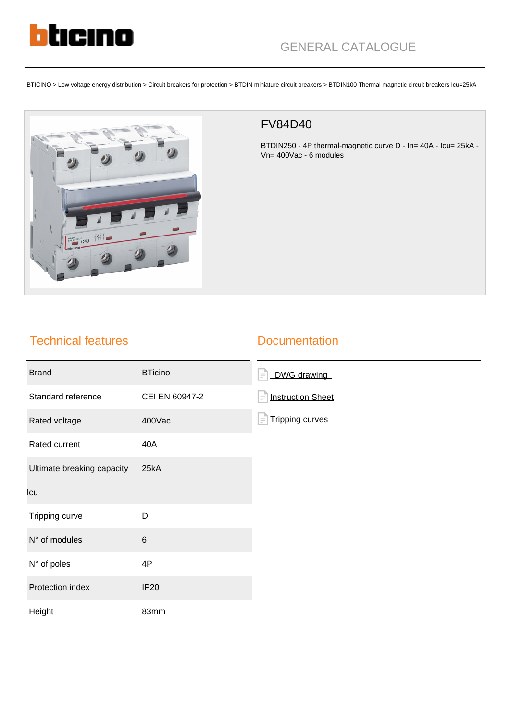

BTICINO > Low voltage energy distribution > Circuit breakers for protection > BTDIN miniature circuit breakers > BTDIN100 Thermal magnetic circuit breakers Icu=25kA



## FV84D40

BTDIN250 - 4P thermal-magnetic curve D - In= 40A - Icu= 25kA - Vn= 400Vac - 6 modules

## Technical features

## **Documentation**

| <b>Brand</b>               | <b>BTicino</b> | DWG drawing<br>$=$ $\overline{ }$    |
|----------------------------|----------------|--------------------------------------|
| Standard reference         | CEI EN 60947-2 | <b>Instruction Sheet</b><br>$\equiv$ |
| Rated voltage              | 400Vac         | <b>Tripping curves</b><br>$\equiv$   |
| Rated current              | 40A            |                                      |
| Ultimate breaking capacity | 25kA           |                                      |
| Icu                        |                |                                      |
| Tripping curve             | D              |                                      |
| N° of modules              | $\,6$          |                                      |
| N° of poles                | 4P             |                                      |
| Protection index           | <b>IP20</b>    |                                      |
| Height                     | 83mm           |                                      |